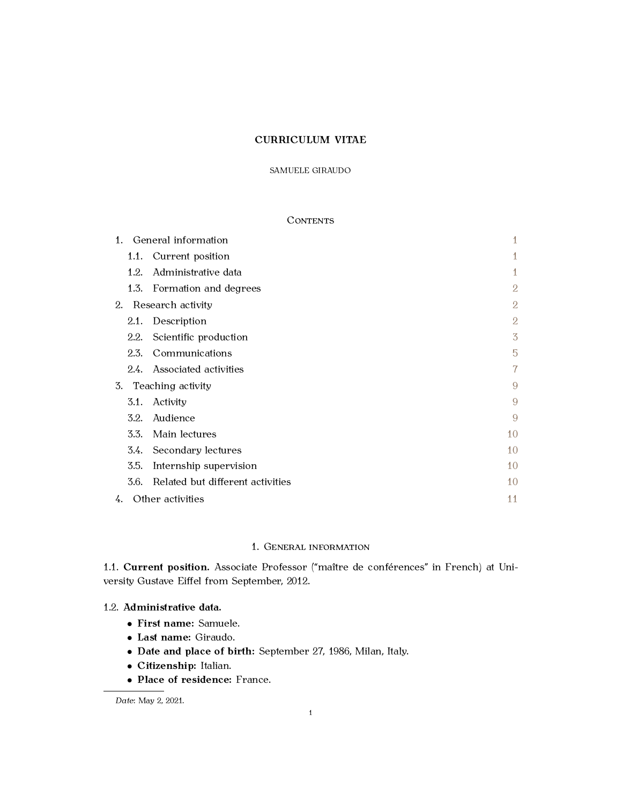### SAMUELE GIRAUDO

# **CONTENTS**

| 1. |                   | General information              | 1              |
|----|-------------------|----------------------------------|----------------|
|    |                   | 1.1. Current position            | 1              |
|    | 1.2.              | Administrative data              | 1              |
|    |                   | 1.3. Formation and degrees       | $\overline{2}$ |
| 2. | Research activity |                                  | 2              |
|    | 2.1.              | Description                      | $\overline{2}$ |
|    | 2.2.              | Scientific production            | $\overline{3}$ |
|    | 2.3.              | Communications                   | 5              |
|    |                   | 2.4. Associated activities       | 7              |
| 3. | Teaching activity |                                  | 9              |
|    | 3.1.              | Activity                         | 9              |
|    | 3.2.              | Audience                         | 9              |
|    | 3.3.              | Main lectures                    | 10             |
|    |                   | 3.4. Secondary lectures          | 10             |
|    | 3.5.              | Internship supervision           | 10             |
|    | 3.6.              | Related but different activities | 10             |
| 4. |                   | Other activities                 | 11             |

# 1. GENERAL INFORMATION

<span id="page-0-1"></span><span id="page-0-0"></span>1.1. **Current position.** Associate Professor ("maître de conférences" in French) at University Gustave Eiffel from September, 2012.

# <span id="page-0-2"></span>1.2. **Administrative data.**

- *•* **First name:** Samuele.
- *•* **Last name:** Giraudo.
- *•* **Date and place of birth:** September 27, 1986, Milan, Italy.
- *•* **Citizenship:** Italian.
- *•* **Place of residence:** France.

*Date*: May 2, 2021.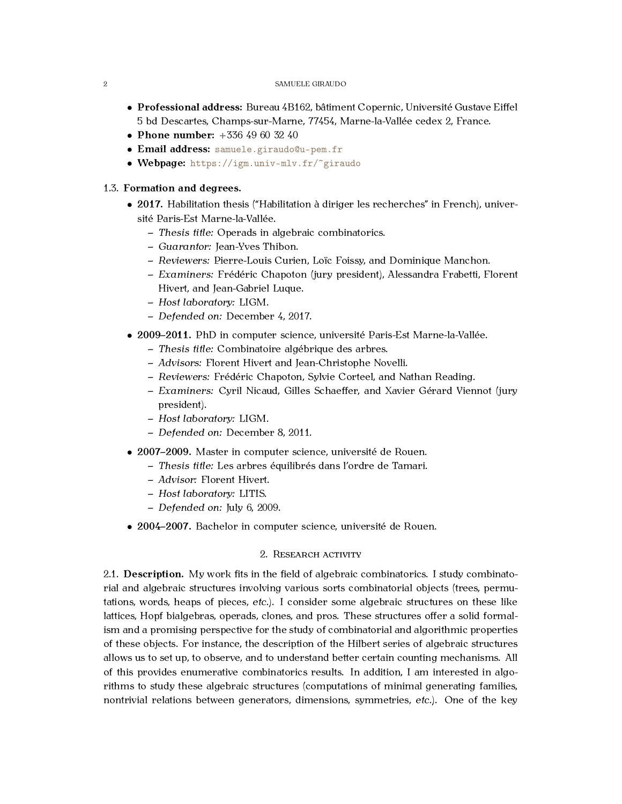- *•* **Professional address:** Bureau 4B162, bâtiment Copernic, Université Gustave Eiffel 5 bd Descartes, Champs-sur-Marne, 77454, Marne-la-Vallée cedex 2, France.
- *•* **Phone number:** +336 49 60 32 40
- *•* **Email address:** [samuele.giraudo@u-pem.fr](mailto:samuele.giraudo@u-pem.fr)
- *•* **Webpage:** <https://igm.univ-mlv.fr/~giraudo>

### <span id="page-1-0"></span>1.3. **Formation and degrees.**

- 2017. Habilitation thesis ("Habilitation à diriger les recherches" in French), université Paris-Est Marne-la-Vallée.
	- **–** *Thesis title:* Operads in algebraic combinatorics.
	- **–** *Guarantor:* Jean-Yves Thibon.
	- **–** *Reviewers:* Pierre-Louis Curien, Loïc Foissy, and Dominique Manchon.
	- **–** *Examiners:* Frédéric Chapoton (jury president), Alessandra Frabetti, Florent Hivert, and Jean-Gabriel Luque.
	- **–** *Host laboratory:* LIGM.
	- **–** *Defended on:* December 4, 2017.
- *•* **2009–2011.** PhD in computer science, université Paris-Est Marne-la-Vallée.
	- **–** *Thesis title:* Combinatoire algébrique des arbres.
	- **–** *Advisors:* Florent Hivert and Jean-Christophe Novelli.
	- **–** *Reviewers:* Frédéric Chapoton, Sylvie Corteel, and Nathan Reading.
	- **–** *Examiners:* Cyril Nicaud, Gilles Schaeffer, and Xavier Gérard Viennot (jury president).
	- **–** *Host laboratory:* LIGM.
	- **–** *Defended on:* December 8, 2011.
- *•* **2007–2009.** Master in computer science, université de Rouen.
	- **–** *Thesis title:* Les arbres équilibrés dans l'ordre de Tamari.
	- **–** *Advisor:* Florent Hivert.
	- **–** *Host laboratory:* LITIS.
	- **–** *Defended on:* July 6, 2009.
- *•* **2004–2007.** Bachelor in computer science, université de Rouen.

## 2. RESEARCH ACTIVITY

<span id="page-1-2"></span><span id="page-1-1"></span>2.1. **Description.** My work fits in the field of algebraic combinatorics. I study combinatorial and algebraic structures involving various sorts combinatorial objects (trees, permutations, words, heaps of pieces, *etc.*). I consider some algebraic structures on these like lattices, Hopf bialgebras, operads, clones, and pros. These structures offer a solid formalism and a promising perspective for the study of combinatorial and algorithmic properties of these objects. For instance, the description of the Hilbert series of algebraic structures allows us to set up, to observe, and to understand better certain counting mechanisms. All of this provides enumerative combinatorics results. In addition, I am interested in algorithms to study these algebraic structures (computations of minimal generating families, nontrivial relations between generators, dimensions, symmetries, *etc.*). One of the key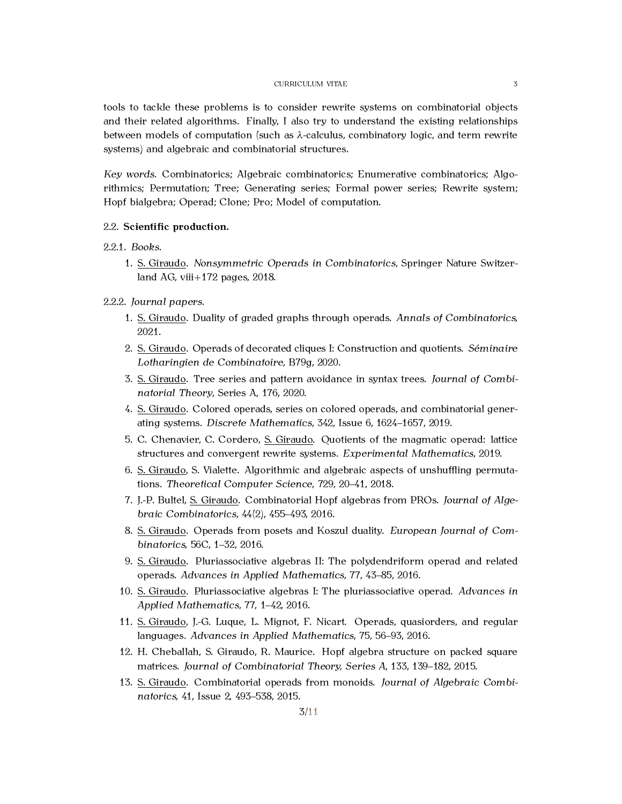tools to tackle these problems is to consider rewrite systems on combinatorial objects and their related algorithms. Finally, I also try to understand the existing relationships between models of computation (such as *λ*-calculus, combinatory logic, and term rewrite systems) and algebraic and combinatorial structures.

*Key words.* Combinatorics; Algebraic combinatorics; Enumerative combinatorics; Algorithmics; Permutation; Tree; Generating series; Formal power series; Rewrite system; Hopf bialgebra; Operad; Clone; Pro; Model of computation.

#### <span id="page-2-0"></span>2.2. **Scientific production.**

#### 2.2.1. *Books.*

1. S. Giraudo. *Nonsymmetric Operads in Combinatorics*, Springer Nature Switzerland AG, viii+172 pages, 2018.

#### 2.2.2. *Journal papers.*

- 1. S. Giraudo. Duality of graded graphs through operads. *Annals of Combinatorics*, 2021.
- 2. S. Giraudo. Operads of decorated cliques I: Construction and quotients. *Séminaire Lotharingien de Combinatoire*, B79g, 2020.
- 3. S. Giraudo. Tree series and pattern avoidance in syntax trees. *Journal of Combinatorial Theory*, Series A, 176, 2020.
- 4. S. Giraudo. Colored operads, series on colored operads, and combinatorial generating systems. *Discrete Mathematics*, 342, Issue 6, 1624–1657, 2019.
- 5. C. Chenavier, C. Cordero, S. Giraudo. Quotients of the magmatic operad: lattice structures and convergent rewrite systems. *Experimental Mathematics*, 2019.
- 6. S. Giraudo, S. Vialette. Algorithmic and algebraic aspects of unshuffling permutations. *Theoretical Computer Science*, 729, 20–41, 2018.
- 7. J.-P. Bultel, S. Giraudo. Combinatorial Hopf algebras from PROs. *Journal of Algebraic Combinatorics*, 44(2), 455–493, 2016.
- 8. S. Giraudo. Operads from posets and Koszul duality. *European Journal of Combinatorics*, 56C, 1–32, 2016.
- 9. S. Giraudo. Pluriassociative algebras II: The polydendriform operad and related operads. *Advances in Applied Mathematics*, 77, 43–85, 2016.
- 10. S. Giraudo. Pluriassociative algebras I: The pluriassociative operad. *Advances in Applied Mathematics*, 77, 1–42, 2016.
- 11. S. Giraudo, J.-G. Luque, L. Mignot, F. Nicart. Operads, quasiorders, and regular languages. *Advances in Applied Mathematics*, 75, 56–93, 2016.
- 12. H. Cheballah, S. Giraudo, R. Maurice. Hopf algebra structure on packed square matrices. *Journal of Combinatorial Theory, Series A*, 133, 139–182, 2015.
- 13. S. Giraudo. Combinatorial operads from monoids. *Journal of Algebraic Combinatorics*, 41, Issue 2, 493–538, 2015.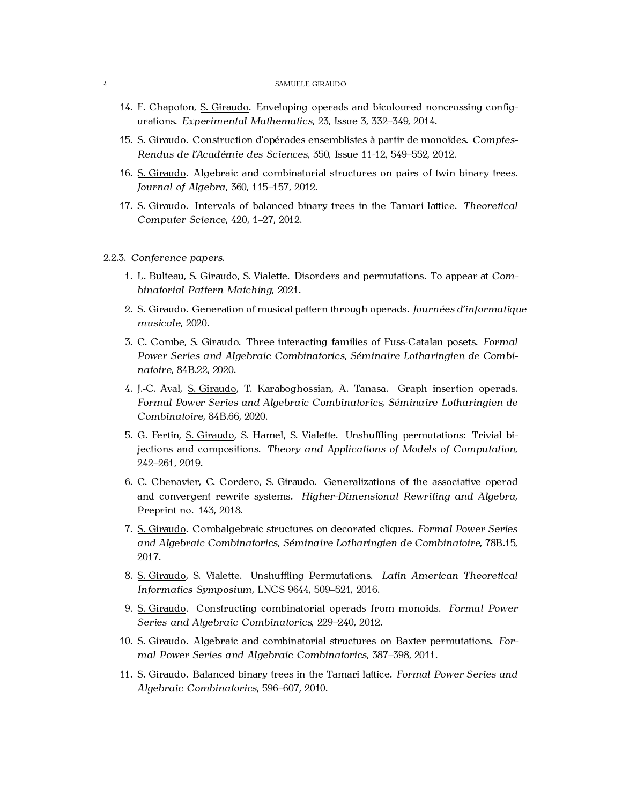- 14. F. Chapoton, S. Giraudo. Enveloping operads and bicoloured noncrossing configurations. *Experimental Mathematics*, 23, Issue 3, 332–349, 2014.
- 15. S. Giraudo. Construction d'opérades ensemblistes à partir de monoïdes. *Comptes-Rendus de l'Académie des Sciences*, 350, Issue 11-12, 549–552, 2012.
- 16. S. Giraudo. Algebraic and combinatorial structures on pairs of twin binary trees. *Journal of Algebra*, 360, 115–157, 2012.
- 17. S. Giraudo. Intervals of balanced binary trees in the Tamari lattice. *Theoretical Computer Science*, 420, 1–27, 2012.
- 2.2.3. *Conference papers.*
	- 1. L. Bulteau, S. Giraudo, S. Vialette. Disorders and permutations. To appear at *Combinatorial Pattern Matching*, 2021.
	- 2. S. Giraudo. Generation of musical pattern through operads. *Journées d'informatique musicale*, 2020.
	- 3. C. Combe, S. Giraudo. Three interacting families of Fuss-Catalan posets. *Formal Power Series and Algebraic Combinatorics*, *Séminaire Lotharingien de Combinatoire*, 84B.22, 2020.
	- 4. J.-C. Aval, S. Giraudo, T. Karaboghossian, A. Tanasa. Graph insertion operads. *Formal Power Series and Algebraic Combinatorics*, *Séminaire Lotharingien de Combinatoire*, 84B.66, 2020.
	- 5. G. Fertin, S. Giraudo, S. Hamel, S. Vialette. Unshuffling permutations: Trivial bijections and compositions. *Theory and Applications of Models of Computation*, 242–261, 2019.
	- 6. C. Chenavier, C. Cordero, S. Giraudo. Generalizations of the associative operad and convergent rewrite systems. *Higher-Dimensional Rewriting and Algebra*, Preprint no. 143, 2018.
	- 7. S. Giraudo. Combalgebraic structures on decorated cliques. *Formal Power Series and Algebraic Combinatorics*, *Séminaire Lotharingien de Combinatoire*, 78B.15, 2017.
	- 8. S. Giraudo, S. Vialette. Unshuffling Permutations. *Latin American Theoretical Informatics Symposium*, LNCS 9644, 509–521, 2016.
	- 9. S. Giraudo. Constructing combinatorial operads from monoids. *Formal Power Series and Algebraic Combinatorics*, 229–240, 2012.
	- 10. S. Giraudo. Algebraic and combinatorial structures on Baxter permutations. *Formal Power Series and Algebraic Combinatorics*, 387–398, 2011.
	- 11. S. Giraudo. Balanced binary trees in the Tamari lattice. *Formal Power Series and Algebraic Combinatorics*, 596–607, 2010.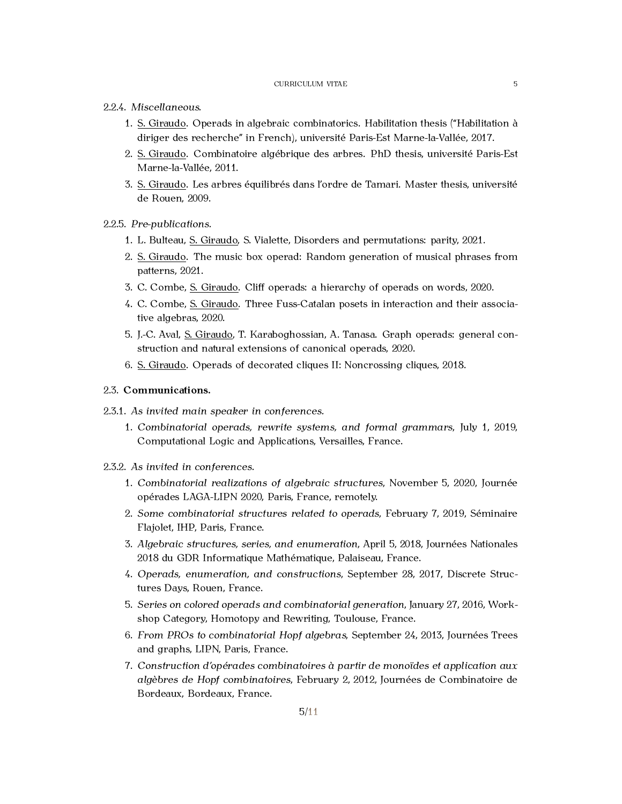#### 2.2.4. *Miscellaneous.*

- 1. S. Giraudo. Operads in algebraic combinatorics. Habilitation thesis ("Habilitation à diriger des recherche" in French), université Paris-Est Marne-la-Vallée, 2017.
- 2. S. Giraudo. Combinatoire algébrique des arbres. PhD thesis, université Paris-Est Marne-la-Vallée, 2011.
- 3. S. Giraudo. Les arbres équilibrés dans l'ordre de Tamari. Master thesis, université de Rouen, 2009.

### 2.2.5. *Pre-publications.*

- 1. L. Bulteau, S. Giraudo, S. Vialette, Disorders and permutations: parity, 2021.
- 2. S. Giraudo. The music box operad: Random generation of musical phrases from patterns, 2021.
- 3. C. Combe, S. Giraudo. Cliff operads: a hierarchy of operads on words, 2020.
- 4. C. Combe, S. Giraudo. Three Fuss-Catalan posets in interaction and their associative algebras, 2020.
- 5. J.-C. Aval, S. Giraudo, T. Karaboghossian, A. Tanasa. Graph operads: general construction and natural extensions of canonical operads, 2020.
- 6. S. Giraudo. Operads of decorated cliques II: Noncrossing cliques, 2018.

# <span id="page-4-0"></span>2.3. **Communications.**

- 2.3.1. *As invited main speaker in conferences.*
	- 1. *Combinatorial operads, rewrite systems, and formal grammars*, July 1, 2019, Computational Logic and Applications, Versailles, France.

#### 2.3.2. *As invited in conferences.*

- 1. *Combinatorial realizations of algebraic structures*, November 5, 2020, Journée opérades LAGA-LIPN 2020, Paris, France, remotely.
- 2. *Some combinatorial structures related to operads*, February 7, 2019, Séminaire Flajolet, IHP, Paris, France.
- 3. *Algebraic structures, series, and enumeration*, April 5, 2018, Journées Nationales 2018 du GDR Informatique Mathématique, Palaiseau, France.
- 4. *Operads, enumeration, and constructions*, September 28, 2017, Discrete Structures Days, Rouen, France.
- 5. *Series on colored operads and combinatorial generation*, January 27, 2016, Workshop Category, Homotopy and Rewriting, Toulouse, France.
- 6. *From PROs to combinatorial Hopf algebras*, September 24, 2013, Journées Trees and graphs, LIPN, Paris, France.
- 7. *Construction d'opérades combinatoires à partir de monoïdes et application aux algèbres de Hopf combinatoires*, February 2, 2012, Journées de Combinatoire de Bordeaux, Bordeaux, France.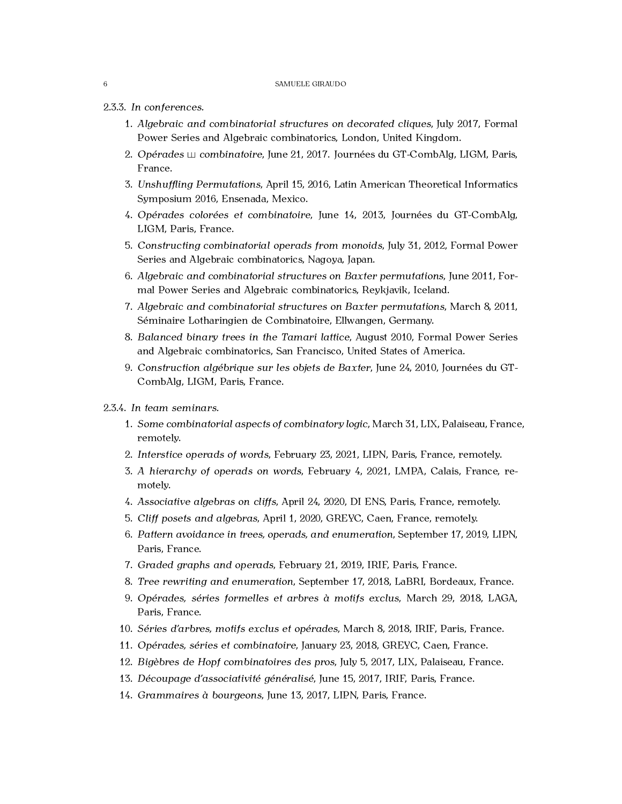### 2.3.3. *In conferences.*

- 1. *Algebraic and combinatorial structures on decorated cliques*, July 2017, Formal Power Series and Algebraic combinatorics, London, United Kingdom.
- 2. *Opérades combinatoire*, June 21, 2017. Journées du GT-CombAlg, LIGM, Paris, France.
- 3. *Unshuffling Permutations*, April 15, 2016, Latin American Theoretical Informatics Symposium 2016, Ensenada, Mexico.
- 4. *Opérades colorées et combinatoire*, June 14, 2013, Journées du GT-CombAlg, LIGM, Paris, France.
- 5. *Constructing combinatorial operads from monoids*, July 31, 2012, Formal Power Series and Algebraic combinatorics, Nagoya, Japan.
- 6. *Algebraic and combinatorial structures on Baxter permutations*, June 2011, Formal Power Series and Algebraic combinatorics, Reykjavik, Iceland.
- 7. *Algebraic and combinatorial structures on Baxter permutations*, March 8, 2011, Séminaire Lotharingien de Combinatoire, Ellwangen, Germany.
- 8. *Balanced binary trees in the Tamari lattice*, August 2010, Formal Power Series and Algebraic combinatorics, San Francisco, United States of America.
- 9. *Construction algébrique sur les objets de Baxter*, June 24, 2010, Journées du GT-CombAlg, LIGM, Paris, France.

### 2.3.4. *In team seminars.*

- 1. *Some combinatorial aspects of combinatory logic*, March 31, LIX, Palaiseau, France, remotely.
- 2. *Interstice operads of words*, February 23, 2021, LIPN, Paris, France, remotely.
- 3. *A hierarchy of operads on words*, February 4, 2021, LMPA, Calais, France, remotely.
- 4. *Associative algebras on cliffs*, April 24, 2020, DI ENS, Paris, France, remotely.
- 5. *Cliff posets and algebras*, April 1, 2020, GREYC, Caen, France, remotely.
- 6. *Pattern avoidance in trees, operads, and enumeration*, September 17, 2019, LIPN, Paris, France.
- 7. *Graded graphs and operads*, February 21, 2019, IRIF, Paris, France.
- 8. *Tree rewriting and enumeration*, September 17, 2018, LaBRI, Bordeaux, France.
- 9. *Opérades, séries formelles et arbres à motifs exclus*, March 29, 2018, LAGA, Paris, France.
- 10. *Séries d'arbres, motifs exclus et opérades*, March 8, 2018, IRIF, Paris, France.
- 11. *Opérades, séries et combinatoire*, January 23, 2018, GREYC, Caen, France.
- 12. *Bigèbres de Hopf combinatoires des pros*, July 5, 2017, LIX, Palaiseau, France.
- 13. *Découpage d'associativité généralisé*, June 15, 2017, IRIF, Paris, France.
- 14. *Grammaires à bourgeons*, June 13, 2017, LIPN, Paris, France.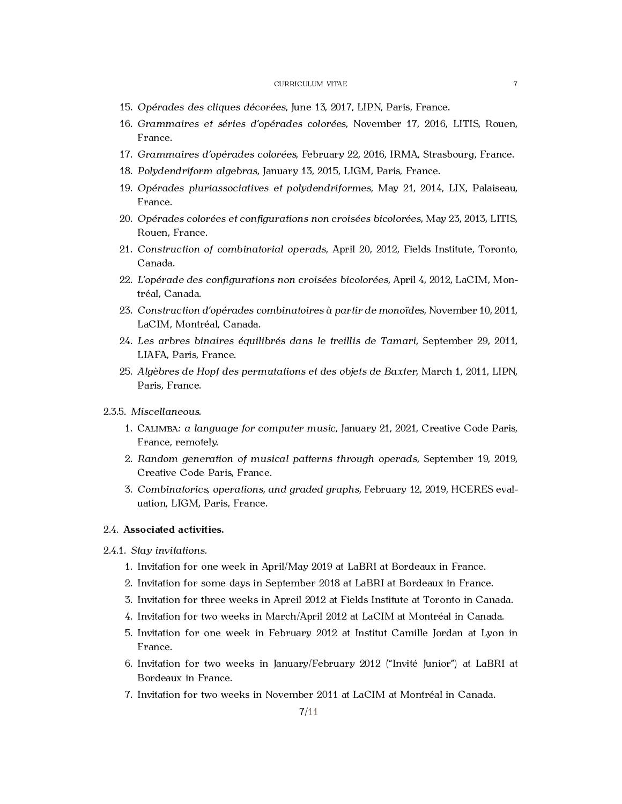- 15. *Opérades des cliques décorées*, June 13, 2017, LIPN, Paris, France.
- 16. *Grammaires et séries d'opérades colorées*, November 17, 2016, LITIS, Rouen, France.
- 17. *Grammaires d'opérades colorées*, February 22, 2016, IRMA, Strasbourg, France.
- 18. *Polydendriform algebras*, January 13, 2015, LIGM, Paris, France.
- 19. *Opérades pluriassociatives et polydendriformes*, May 21, 2014, LIX, Palaiseau, France.
- 20. *Opérades colorées et configurations non croisées bicolorées*, May 23, 2013, LITIS, Rouen, France.
- 21. *Construction of combinatorial operads*, April 20, 2012, Fields Institute, Toronto, Canada.
- 22. *L'opérade des configurations non croisées bicolorées*, April 4, 2012, LaCIM, Montréal, Canada.
- 23. *Construction d'opérades combinatoires à partir de monoïdes*, November 10, 2011, LaCIM, Montréal, Canada.
- 24. *Les arbres binaires équilibrés dans le treillis de Tamari*, September 29, 2011, LIAFA, Paris, France.
- 25. *Algèbres de Hopf des permutations et des objets de Baxter*, March 1, 2011, LIPN, Paris, France.
- 2.3.5. *Miscellaneous.*
	- 1. CALIMBA*: a language for computer music*, January 21, 2021, Creative Code Paris, France, remotely.
	- 2. *Random generation of musical patterns through operads*, September 19, 2019, Creative Code Paris, France.
	- 3. *Combinatorics, operations, and graded graphs*, February 12, 2019, HCERES evaluation, LIGM, Paris, France.

## <span id="page-6-0"></span>2.4. **Associated activities.**

- 2.4.1. *Stay invitations.*
	- 1. Invitation for one week in April/May 2019 at LaBRI at Bordeaux in France.
	- 2. Invitation for some days in September 2018 at LaBRI at Bordeaux in France.
	- 3. Invitation for three weeks in Apreil 2012 at Fields Institute at Toronto in Canada.
	- 4. Invitation for two weeks in March/April 2012 at LaCIM at Montréal in Canada.
	- 5. Invitation for one week in February 2012 at Institut Camille Jordan at Lyon in France.
	- 6. Invitation for two weeks in January/February 2012 ("Invité Junior") at LaBRI at Bordeaux in France.
	- 7. Invitation for two weeks in November 2011 at LaCIM at Montréal in Canada.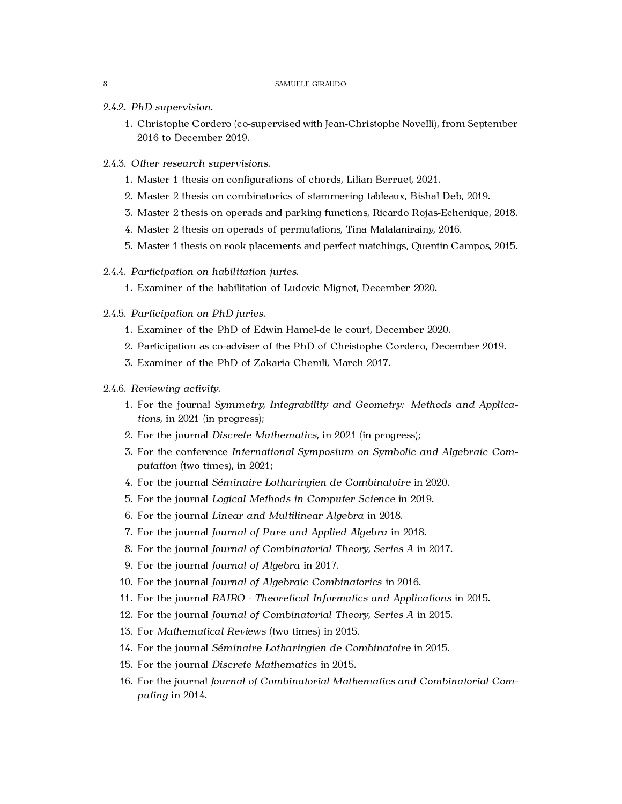#### 2.4.2. *PhD supervision.*

- 1. Christophe Cordero (co-supervised with Jean-Christophe Novelli), from September 2016 to December 2019.
- 2.4.3. *Other research supervisions.*
	- 1. Master 1 thesis on configurations of chords, Lilian Berruet, 2021.
	- 2. Master 2 thesis on combinatorics of stammering tableaux, Bishal Deb, 2019.
	- 3. Master 2 thesis on operads and parking functions, Ricardo Rojas-Echenique, 2018.
	- 4. Master 2 thesis on operads of permutations, Tina Malalanirainy, 2016.
	- 5. Master 1 thesis on rook placements and perfect matchings, Quentin Campos, 2015.

#### 2.4.4. *Participation on habilitation juries.*

1. Examiner of the habilitation of Ludovic Mignot, December 2020.

## 2.4.5. *Participation on PhD juries.*

- 1. Examiner of the PhD of Edwin Hamel-de le court, December 2020.
- 2. Participation as co-adviser of the PhD of Christophe Cordero, December 2019.
- 3. Examiner of the PhD of Zakaria Chemli, March 2017.

### 2.4.6. *Reviewing activity.*

- 1. For the journal *Symmetry, Integrability and Geometry: Methods and Applications*, in 2021 (in progress);
- 2. For the journal *Discrete Mathematics*, in 2021 (in progress);
- 3. For the conference *International Symposium on Symbolic and Algebraic Computation* (two times), in 2021;
- 4. For the journal *Séminaire Lotharingien de Combinatoire* in 2020.
- 5. For the journal *Logical Methods in Computer Science* in 2019.
- 6. For the journal *Linear and Multilinear Algebra* in 2018.
- 7. For the journal *Journal of Pure and Applied Algebra* in 2018.
- 8. For the journal *Journal of Combinatorial Theory, Series A* in 2017.
- 9. For the journal *Journal of Algebra* in 2017.
- 10. For the journal *Journal of Algebraic Combinatorics* in 2016.
- 11. For the journal *RAIRO Theoretical Informatics and Applications* in 2015.
- 12. For the journal *Journal of Combinatorial Theory, Series A* in 2015.
- 13. For *Mathematical Reviews* (two times) in 2015.
- 14. For the journal *Séminaire Lotharingien de Combinatoire* in 2015.
- 15. For the journal *Discrete Mathematics* in 2015.
- 16. For the journal *Journal of Combinatorial Mathematics and Combinatorial Computing* in 2014.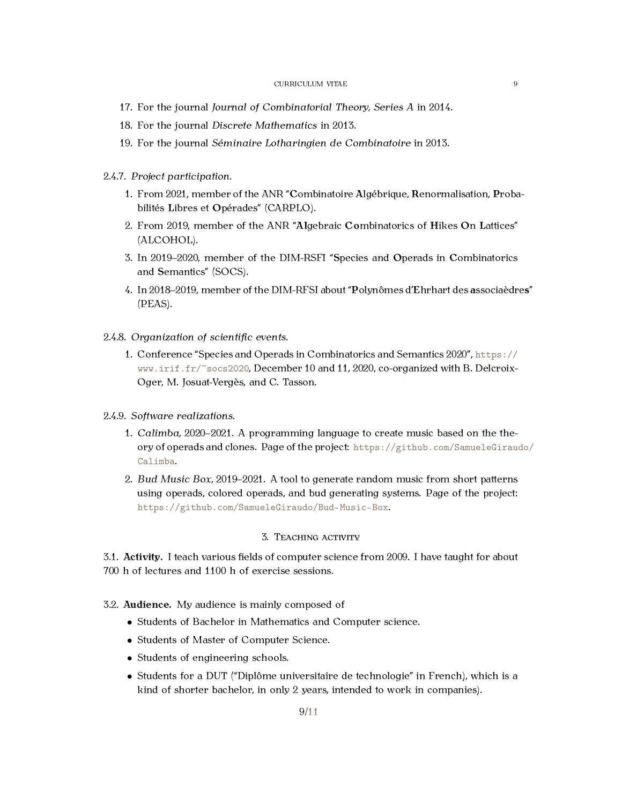- 17. For the journal *Journal of Combinatorial Theory, Series A* in 2014.
- 18. For the journal *Discrete Mathematics* in 2013.
- 19. For the journal *Séminaire Lotharingien de Combinatoire* in 2013.
- 2.4.7. *Project participation.*
	- 1. From 2021, member of the ANR "**C**ombinatoire **A**lgébrique, **R**enormalisation, **P**robabilités **L**ibres et **O**pérades" (CARPLO).
	- 2. From 2019, member of the ANR "**Al**gebraic **Co**mbinatorics of **H**ikes **O**n **L**attices" (ALCOHOL).
	- 3. In 2019–2020, member of the DIM-RSFI "**S**pecies and **O**perads in **C**ombinatorics and **S**emantics" (SOCS).
	- 4. In 2018–2019, member of the DIM-RFSI about "**P**olynômes d'**E**hrhart des **a**ssociaèdre**s**" (PEAS).
- 2.4.8. *Organization of scientific events.*
	- 1. Conference "Species and Operads in Combinatorics and Semantics 2020", [https://](https://www.irif.fr/~socs2020) [www.irif.fr/~socs2020](https://www.irif.fr/~socs2020), December 10 and 11, 2020, co-organized with B. Delcroix-Oger, M. Josuat-Vergès, and C. Tasson.
- 2.4.9. *Software realizations.*
	- 1. *Calimba*, 2020–2021. A programming language to create music based on the theory of operads and clones. Page of the project: [https://github.com/SamueleGiraud](https://github.com/SamueleGiraudo/Calimba)o/ [Calimba](https://github.com/SamueleGiraudo/Calimba).
	- 2. *Bud Music Box*, 2019–2021. A tool to generate random music from short patterns using operads, colored operads, and bud generating systems. Page of the project: <https://github.com/SamueleGiraudo/Bud-Music-Box>.

# 3. TEACHING ACTIVITY

<span id="page-8-1"></span><span id="page-8-0"></span>3.1. **Activity.** I teach various fields of computer science from 2009. I have taught for about 700 h of lectures and 1100 h of exercise sessions.

- <span id="page-8-2"></span>3.2. **Audience.** My audience is mainly composed of
	- *•* Students of Bachelor in Mathematics and Computer science.
	- *•* Students of Master of Computer Science.
	- Students of engineering schools.
	- *•* Students for a DUT ("Diplôme universitaire de technologie" in French), which is a kind of shorter bachelor, in only 2 years, intended to work in companies).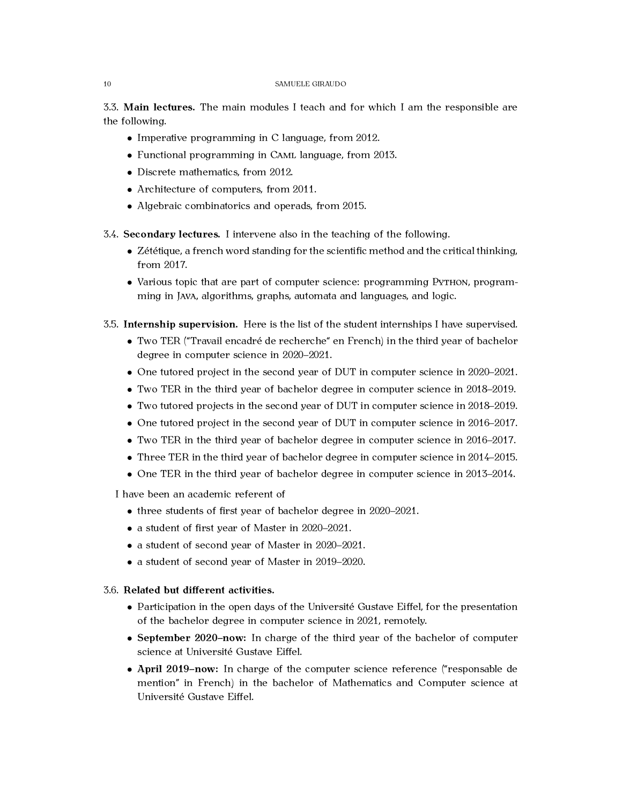<span id="page-9-0"></span>3.3. **Main lectures.** The main modules I teach and for which I am the responsible are the following.

- *•* Imperative programming in C language, from 2012.
- *•* Functional programming in CAML language, from 2013.
- Discrete mathematics, from 2012.
- *•* Architecture of computers, from 2011.
- *•* Algebraic combinatorics and operads, from 2015.
- <span id="page-9-1"></span>3.4. **Secondary lectures.** I intervene also in the teaching of the following.
	- *•* Zététique, a french word standing for the scientific method and the critical thinking, from 2017.
	- Various topic that are part of computer science: programming PyTHON, programming in JAVA, algorithms, graphs, automata and languages, and logic.
- <span id="page-9-2"></span>3.5. **Internship supervision.** Here is the list of the student internships I have supervised.
	- *•* Two TER ("Travail encadré de recherche" en French) in the third year of bachelor degree in computer science in 2020–2021.
	- One tutored project in the second year of DUT in computer science in 2020–2021.
	- *•* Two TER in the third year of bachelor degree in computer science in 2018–2019.
	- *•* Two tutored projects in the second year of DUT in computer science in 2018–2019.
	- One tutored project in the second year of DUT in computer science in 2016–2017.
	- *•* Two TER in the third year of bachelor degree in computer science in 2016–2017.
	- *•* Three TER in the third year of bachelor degree in computer science in 2014–2015.
	- One TER in the third year of bachelor degree in computer science in 2013–2014.

I have been an academic referent of

- *•* three students of first year of bachelor degree in 2020–2021.
- *•* a student of first year of Master in 2020–2021.
- *•* a student of second year of Master in 2020–2021.
- *•* a student of second year of Master in 2019–2020.

# <span id="page-9-3"></span>3.6. **Related but different activities.**

- Participation in the open days of the Université Gustave Eiffel, for the presentation of the bachelor degree in computer science in 2021, remotely.
- *•* **September 2020–now:** In charge of the third year of the bachelor of computer science at Université Gustave Eiffel.
- *•* **April 2019–now:** In charge of the computer science reference ("responsable de mention" in French) in the bachelor of Mathematics and Computer science at Université Gustave Eiffel.